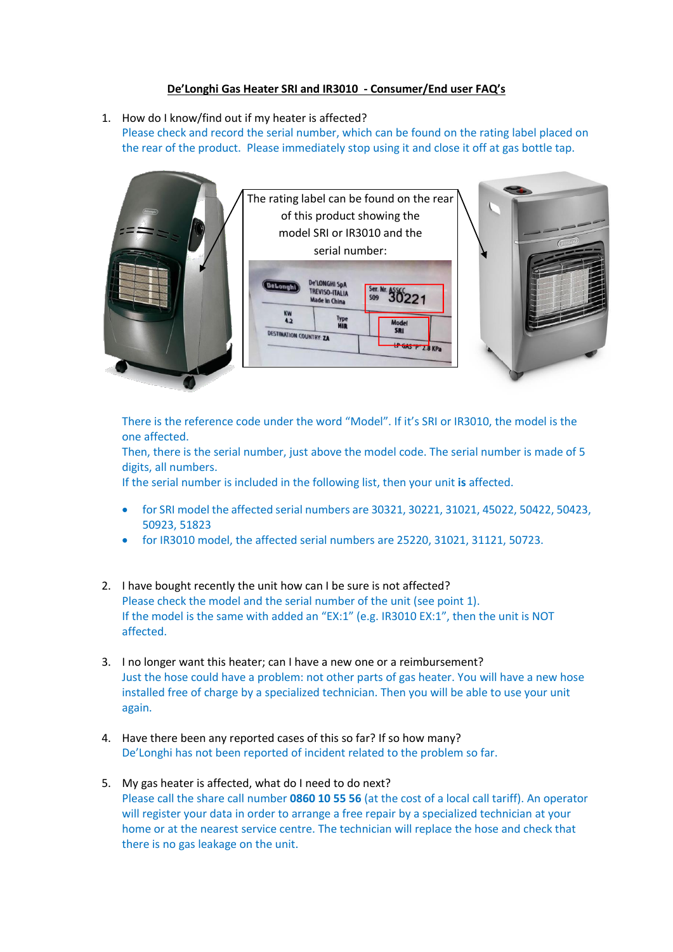## **De'Longhi Gas Heater SRI and IR3010 - Consumer/End user FAQ's**

1. How do I know/find out if my heater is affected?

Please check and record the serial number, which can be found on the rating label placed on the rear of the product. Please immediately stop using it and close it off at gas bottle tap.



There is the reference code under the word "Model". If it's SRI or IR3010, the model is the one affected.

Then, there is the serial number, just above the model code. The serial number is made of 5 digits, all numbers.

If the serial number is included in the following list, then your unit **is** affected.

- for SRI model the affected serial numbers are 30321, 30221, 31021, 45022, 50422, 50423, 50923, 51823
- for IR3010 model, the affected serial numbers are 25220, 31021, 31121, 50723.
- 2. I have bought recently the unit how can I be sure is not affected? Please check the model and the serial number of the unit (see point 1). If the model is the same with added an "EX:1" (e.g. IR3010 EX:1", then the unit is NOT affected.
- 3. I no longer want this heater; can I have a new one or a reimbursement? Just the hose could have a problem: not other parts of gas heater. You will have a new hose installed free of charge by a specialized technician. Then you will be able to use your unit again.
- 4. Have there been any reported cases of this so far? If so how many? De'Longhi has not been reported of incident related to the problem so far.
- 5. My gas heater is affected, what do I need to do next? Please call the share call number **0860 10 55 56** (at the cost of a local call tariff). An operator will register your data in order to arrange a free repair by a specialized technician at your home or at the nearest service centre. The technician will replace the hose and check that there is no gas leakage on the unit.